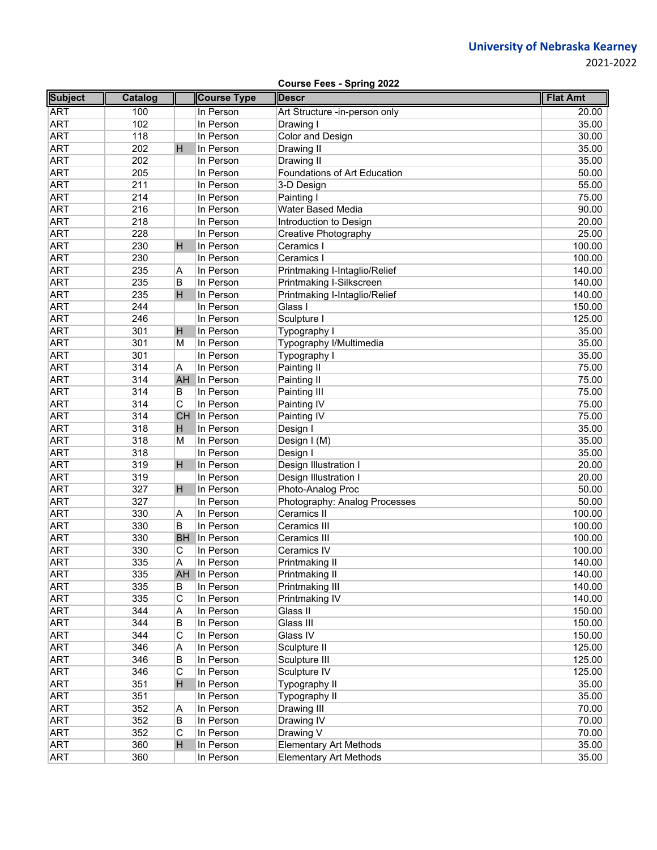2021‐2022

|                |         |                         |                    | <b>Course Fees - Spring 2022</b> |                 |
|----------------|---------|-------------------------|--------------------|----------------------------------|-----------------|
| <b>Subject</b> | Catalog |                         | <b>Course Type</b> | <b>Descr</b>                     | <b>Flat Amt</b> |
| <b>ART</b>     | 100     |                         | In Person          | Art Structure -in-person only    | 20.00           |
| <b>ART</b>     | 102     |                         | In Person          | Drawing I                        | 35.00           |
| <b>ART</b>     | 118     |                         | In Person          | Color and Design                 | 30.00           |
| <b>ART</b>     | 202     | H                       | In Person          | Drawing II                       | 35.00           |
| <b>ART</b>     | 202     |                         | In Person          | Drawing II                       | 35.00           |
| <b>ART</b>     | 205     |                         | In Person          | Foundations of Art Education     | 50.00           |
| <b>ART</b>     | 211     |                         | In Person          | 3-D Design                       | 55.00           |
| <b>ART</b>     | 214     |                         | In Person          | Painting I                       | 75.00           |
| <b>ART</b>     | 216     |                         | In Person          | Water Based Media                | 90.00           |
| <b>ART</b>     | 218     |                         | In Person          | Introduction to Design           | 20.00           |
| <b>ART</b>     | 228     |                         | In Person          | Creative Photography             | 25.00           |
| <b>ART</b>     | 230     | H                       | In Person          | Ceramics I                       | 100.00          |
| <b>ART</b>     | 230     |                         | In Person          | Ceramics I                       | 100.00          |
| <b>ART</b>     | 235     | Α                       | In Person          | Printmaking I-Intaglio/Relief    | 140.00          |
| <b>ART</b>     | 235     | В                       | In Person          | Printmaking I-Silkscreen         | 140.00          |
| <b>ART</b>     | 235     | $\overline{H}$          | In Person          | Printmaking I-Intaglio/Relief    | 140.00          |
| <b>ART</b>     | 244     |                         | In Person          | Glass I                          | 150.00          |
| <b>ART</b>     | 246     |                         | In Person          | Sculpture I                      | 125.00          |
| <b>ART</b>     | 301     | H                       | In Person          | Typography I                     | 35.00           |
| <b>ART</b>     | 301     | M                       | In Person          | Typography I/Multimedia          | 35.00           |
| <b>ART</b>     | 301     |                         | In Person          | Typography I                     | 35.00           |
| <b>ART</b>     | 314     | Α                       | In Person          | Painting II                      | 75.00           |
| <b>ART</b>     | 314     | <b>AH</b>               | In Person          | Painting II                      | 75.00           |
| <b>ART</b>     | 314     | B                       | In Person          | Painting III                     | 75.00           |
| <b>ART</b>     | 314     | $\overline{\mathsf{C}}$ | In Person          | Painting IV                      | 75.00           |
| <b>ART</b>     | 314     |                         | CH In Person       | Painting IV                      | 75.00           |
| <b>ART</b>     | 318     | H                       | In Person          | Design I                         | 35.00           |
| <b>ART</b>     | 318     | M                       | In Person          | Design I (M)                     | 35.00           |
| <b>ART</b>     | 318     |                         | In Person          | Design I                         | 35.00           |
| <b>ART</b>     | 319     | H                       | In Person          | Design Illustration I            | 20.00           |
| <b>ART</b>     | 319     |                         | In Person          | Design Illustration I            | 20.00           |
| <b>ART</b>     | 327     | H                       | In Person          | Photo-Analog Proc                | 50.00           |
| <b>ART</b>     | 327     |                         | In Person          | Photography: Analog Processes    | 50.00           |
| <b>ART</b>     | 330     | A                       | In Person          | Ceramics II                      | 100.00          |
| <b>ART</b>     | 330     | B                       | In Person          | Ceramics III                     | 100.00          |
| <b>ART</b>     | 330     | <b>BH</b>               | In Person          | Ceramics III                     | 100.00          |
| <b>ART</b>     | 330     | C                       | In Person          | Ceramics IV                      | 100.00          |
| <b>ART</b>     | 335     | Α                       | In Person          | Printmaking II                   | 140.00          |
| <b>ART</b>     | 335     | AH                      | In Person          | Printmaking II                   | 140.00          |
| <b>ART</b>     | 335     | B                       | In Person          | Printmaking III                  | 140.00          |
| <b>ART</b>     | 335     | С                       | In Person          | Printmaking IV                   | 140.00          |
| <b>ART</b>     | 344     | Α                       | In Person          | Glass II                         | 150.00          |
| <b>ART</b>     | 344     | В                       | In Person          | Glass III                        | 150.00          |
| <b>ART</b>     | 344     | С                       | In Person          | Glass IV                         | 150.00          |
| <b>ART</b>     | 346     | Α                       | In Person          | Sculpture II                     | 125.00          |
| <b>ART</b>     | 346     | В                       | In Person          | Sculpture III                    | 125.00          |
| <b>ART</b>     | 346     | С                       | In Person          | Sculpture IV                     | 125.00          |
| <b>ART</b>     | 351     | H                       | In Person          | Typography II                    | 35.00           |
| <b>ART</b>     | 351     |                         | In Person          | Typography II                    | 35.00           |
| <b>ART</b>     | 352     | Α                       | In Person          | Drawing III                      | 70.00           |
| <b>ART</b>     | 352     | B                       | In Person          | Drawing IV                       | 70.00           |
| <b>ART</b>     | 352     | C                       | In Person          | Drawing V                        | 70.00           |
| <b>ART</b>     | 360     | H                       | In Person          | <b>Elementary Art Methods</b>    | 35.00           |
| <b>ART</b>     | 360     |                         | In Person          | <b>Elementary Art Methods</b>    | 35.00           |
|                |         |                         |                    |                                  |                 |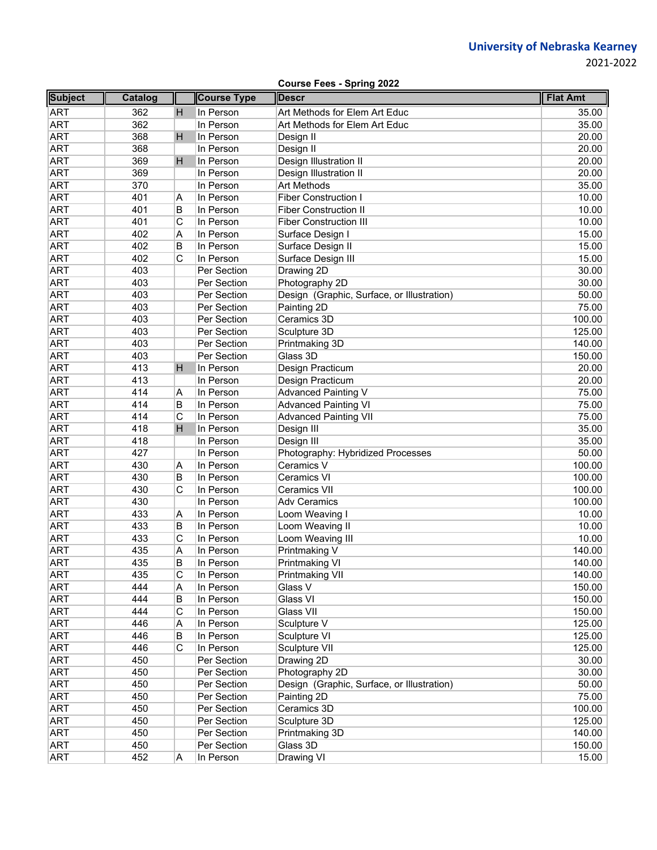|--|

| <b>Subject</b> | Catalog |                | <b>Course Type</b> | <b>Descr</b>                               | <b>Flat Amt</b> |
|----------------|---------|----------------|--------------------|--------------------------------------------|-----------------|
| <b>ART</b>     | 362     | н              | In Person          | Art Methods for Elem Art Educ              | 35.00           |
| <b>ART</b>     | 362     |                | In Person          | Art Methods for Elem Art Educ              | 35.00           |
| <b>ART</b>     | 368     | H              | In Person          | Design II                                  | 20.00           |
| <b>ART</b>     | 368     |                | In Person          | Design II                                  | 20.00           |
| <b>ART</b>     | 369     | H              | In Person          | Design Illustration II                     | 20.00           |
| <b>ART</b>     | 369     |                | In Person          | Design Illustration II                     | 20.00           |
| <b>ART</b>     | 370     |                | In Person          | Art Methods                                | 35.00           |
| <b>ART</b>     | 401     | Α              | In Person          | <b>Fiber Construction I</b>                | 10.00           |
| <b>ART</b>     | 401     | B              | In Person          | <b>Fiber Construction II</b>               | 10.00           |
| <b>ART</b>     | 401     | С              | In Person          | <b>Fiber Construction III</b>              | 10.00           |
| <b>ART</b>     | 402     | Α              | In Person          | Surface Design I                           | 15.00           |
| <b>ART</b>     | 402     | B              | In Person          | Surface Design II                          | 15.00           |
| <b>ART</b>     | 402     | $\overline{C}$ | In Person          | Surface Design III                         | 15.00           |
| <b>ART</b>     | 403     |                | Per Section        | Drawing 2D                                 | 30.00           |
| <b>ART</b>     | 403     |                | Per Section        | Photography 2D                             | 30.00           |
| <b>ART</b>     | 403     |                | Per Section        | Design (Graphic, Surface, or Illustration) | 50.00           |
| <b>ART</b>     | 403     |                | Per Section        | Painting 2D                                | 75.00           |
| <b>ART</b>     | 403     |                | Per Section        | Ceramics 3D                                | 100.00          |
| <b>ART</b>     | 403     |                | Per Section        | Sculpture 3D                               | 125.00          |
| <b>ART</b>     | 403     |                | Per Section        | Printmaking 3D                             | 140.00          |
| <b>ART</b>     | 403     |                | Per Section        | Glass 3D                                   | 150.00          |
| <b>ART</b>     | 413     | H              | In Person          | Design Practicum                           | 20.00           |
| <b>ART</b>     | 413     |                | In Person          | Design Practicum                           | 20.00           |
| <b>ART</b>     | 414     | Α              | In Person          | <b>Advanced Painting V</b>                 | 75.00           |
| <b>ART</b>     | 414     | B              | In Person          | <b>Advanced Painting VI</b>                | 75.00           |
| <b>ART</b>     | 414     | C              | In Person          | <b>Advanced Painting VII</b>               | 75.00           |
| <b>ART</b>     | 418     | H              | In Person          | Design III                                 | 35.00           |
| <b>ART</b>     | 418     |                | In Person          | Design III                                 | 35.00           |
| <b>ART</b>     | 427     |                | In Person          | Photography: Hybridized Processes          | 50.00           |
| <b>ART</b>     | 430     | Α              | In Person          | Ceramics V                                 | 100.00          |
| <b>ART</b>     | 430     | В              | In Person          | Ceramics VI                                | 100.00          |
| <b>ART</b>     | 430     | C              | In Person          | <b>Ceramics VII</b>                        | 100.00          |
| <b>ART</b>     | 430     |                | In Person          | <b>Adv Ceramics</b>                        | 100.00          |
| <b>ART</b>     | 433     | Α              | In Person          | Loom Weaving I                             | 10.00           |
| <b>ART</b>     | 433     | B              | In Person          | Loom Weaving II                            | 10.00           |
| <b>ART</b>     | 433     | C              | In Person          | Loom Weaving III                           | 10.00           |
| <b>ART</b>     | 435     | Α              | In Person          | Printmaking V                              | 140.00          |
| <b>ART</b>     | 435     | B              | In Person          | Printmaking VI                             | 140.00          |
| ART            | 435     | С              | In Person          | Printmaking VII                            | 140.00          |
| <b>ART</b>     | 444     | Α              | In Person          | Glass V                                    | 150.00          |
| <b>ART</b>     | 444     | В              | In Person          | Glass VI                                   | 150.00          |
| <b>ART</b>     | 444     | С              | In Person          | Glass VII                                  | 150.00          |
| <b>ART</b>     | 446     | Α              | In Person          | Sculpture V                                | 125.00          |
| <b>ART</b>     | 446     | В              | In Person          | Sculpture VI                               | 125.00          |
| <b>ART</b>     | 446     | С              | In Person          | Sculpture VII                              | 125.00          |
| <b>ART</b>     | 450     |                | Per Section        | Drawing 2D                                 | 30.00           |
| <b>ART</b>     | 450     |                | Per Section        | Photography 2D                             | 30.00           |
| <b>ART</b>     | 450     |                | Per Section        | Design (Graphic, Surface, or Illustration) | 50.00           |
| <b>ART</b>     | 450     |                | Per Section        | Painting 2D                                | 75.00           |
| ART            | 450     |                | Per Section        | Ceramics 3D                                | 100.00          |
| <b>ART</b>     | 450     |                | Per Section        | Sculpture 3D                               | 125.00          |
| <b>ART</b>     | 450     |                | Per Section        | Printmaking 3D                             | 140.00          |
| <b>ART</b>     | 450     |                | Per Section        | Glass 3D                                   | 150.00          |
| <b>ART</b>     | 452     | A              | In Person          | Drawing VI                                 | 15.00           |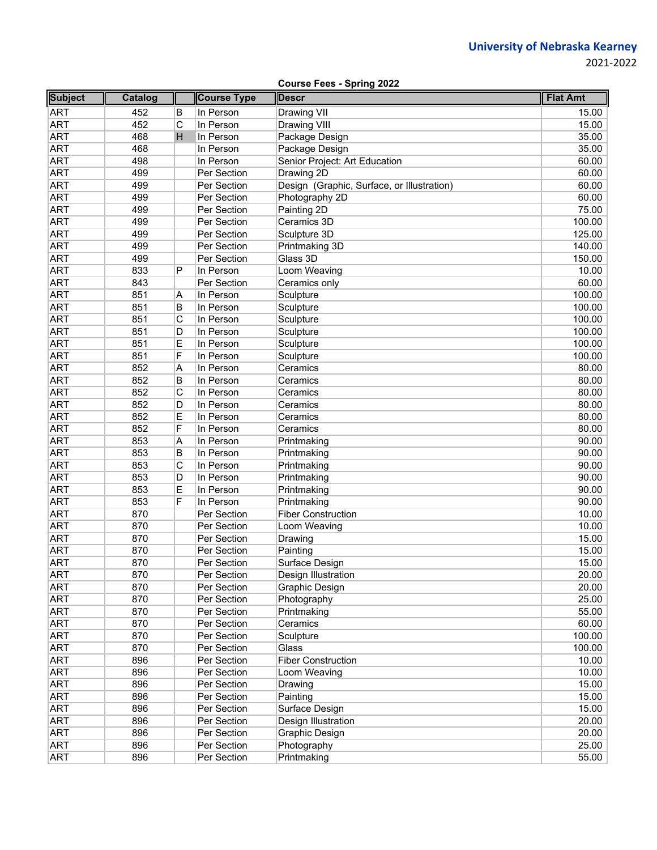2021‐2022

| <b>Subject</b> | Catalog |   | <b>Course Type</b> | <b>Flat Amt</b>                            |        |
|----------------|---------|---|--------------------|--------------------------------------------|--------|
| <b>ART</b>     | 452     | B | In Person          | <b>Descr</b><br>Drawing VII                | 15.00  |
| <b>ART</b>     | 452     | C | In Person          | Drawing VIII                               | 15.00  |
| <b>ART</b>     | 468     | H | In Person          | Package Design                             | 35.00  |
| <b>ART</b>     | 468     |   | In Person          | Package Design                             | 35.00  |
| <b>ART</b>     | 498     |   | In Person          | Senior Project: Art Education              | 60.00  |
| <b>ART</b>     | 499     |   | Per Section        | Drawing 2D                                 | 60.00  |
| <b>ART</b>     | 499     |   | Per Section        | Design (Graphic, Surface, or Illustration) | 60.00  |
| <b>ART</b>     | 499     |   | Per Section        | Photography 2D                             | 60.00  |
| <b>ART</b>     | 499     |   | Per Section        | Painting 2D                                | 75.00  |
| <b>ART</b>     | 499     |   | Per Section        | Ceramics 3D                                | 100.00 |
| <b>ART</b>     | 499     |   | Per Section        | Sculpture 3D                               | 125.00 |
| <b>ART</b>     | 499     |   | Per Section        | Printmaking 3D                             | 140.00 |
| <b>ART</b>     | 499     |   | Per Section        | Glass 3D                                   | 150.00 |
| <b>ART</b>     | 833     | P | In Person          | Loom Weaving                               | 10.00  |
| <b>ART</b>     | 843     |   | Per Section        | Ceramics only                              | 60.00  |
| <b>ART</b>     | 851     | Α | In Person          | Sculpture                                  | 100.00 |
| <b>ART</b>     | 851     | B | In Person          | Sculpture                                  | 100.00 |
| <b>ART</b>     | 851     | С | In Person          | Sculpture                                  | 100.00 |
| <b>ART</b>     | 851     | D | In Person          | Sculpture                                  | 100.00 |
| <b>ART</b>     | 851     | Е | In Person          | Sculpture                                  | 100.00 |
| <b>ART</b>     | 851     | F | In Person          | Sculpture                                  | 100.00 |
| <b>ART</b>     | 852     | Α | In Person          | Ceramics                                   | 80.00  |
| <b>ART</b>     | 852     | B | In Person          | Ceramics                                   | 80.00  |
| <b>ART</b>     | 852     | C | In Person          | Ceramics                                   | 80.00  |
| <b>ART</b>     | 852     | D | In Person          | Ceramics                                   | 80.00  |
| <b>ART</b>     | 852     | Ε | In Person          | Ceramics                                   | 80.00  |
| <b>ART</b>     | 852     | F | In Person          | Ceramics                                   | 80.00  |
| <b>ART</b>     | 853     | Α | In Person          | Printmaking                                | 90.00  |
| <b>ART</b>     | 853     | B | In Person          | Printmaking                                | 90.00  |
| <b>ART</b>     | 853     | С | In Person          | Printmaking                                | 90.00  |
| <b>ART</b>     | 853     | D | In Person          | Printmaking                                | 90.00  |
| <b>ART</b>     | 853     | Ε | In Person          | Printmaking                                | 90.00  |
| <b>ART</b>     | 853     | F | In Person          | Printmaking                                | 90.00  |
| <b>ART</b>     | 870     |   | Per Section        | <b>Fiber Construction</b>                  | 10.00  |
| <b>ART</b>     | 870     |   | Per Section        | Loom Weaving                               | 10.00  |
| <b>ART</b>     | 870     |   | Per Section        | Drawing                                    | 15.00  |
| <b>ART</b>     | 870     |   | Per Section        | Painting                                   | 15.00  |
| <b>ART</b>     | 870     |   | Per Section        | Surface Design                             | 15.00  |
| ART            | 870     |   | Per Section        | Design Illustration                        | 20.00  |
| <b>ART</b>     | 870     |   | Per Section        | Graphic Design                             | 20.00  |
| <b>ART</b>     | 870     |   | Per Section        | Photography                                | 25.00  |
| <b>ART</b>     | 870     |   | Per Section        | Printmaking                                | 55.00  |
| <b>ART</b>     | 870     |   | Per Section        | Ceramics                                   | 60.00  |
| <b>ART</b>     | 870     |   | Per Section        | Sculpture                                  | 100.00 |
| <b>ART</b>     | 870     |   | Per Section        | Glass                                      | 100.00 |
| <b>ART</b>     | 896     |   | Per Section        | <b>Fiber Construction</b>                  | 10.00  |
| <b>ART</b>     | 896     |   | Per Section        | Loom Weaving                               | 10.00  |
| <b>ART</b>     | 896     |   | Per Section        | Drawing                                    | 15.00  |
| <b>ART</b>     | 896     |   | Per Section        | Painting                                   | 15.00  |
| <b>ART</b>     | 896     |   | Per Section        | Surface Design                             | 15.00  |
| <b>ART</b>     | 896     |   | Per Section        | Design Illustration                        | 20.00  |
| <b>ART</b>     | 896     |   | Per Section        | Graphic Design                             | 20.00  |
| ART            | 896     |   | Per Section        | Photography                                | 25.00  |
| <b>ART</b>     | 896     |   | Per Section        | Printmaking                                | 55.00  |

**Course Fees - Spring 2022**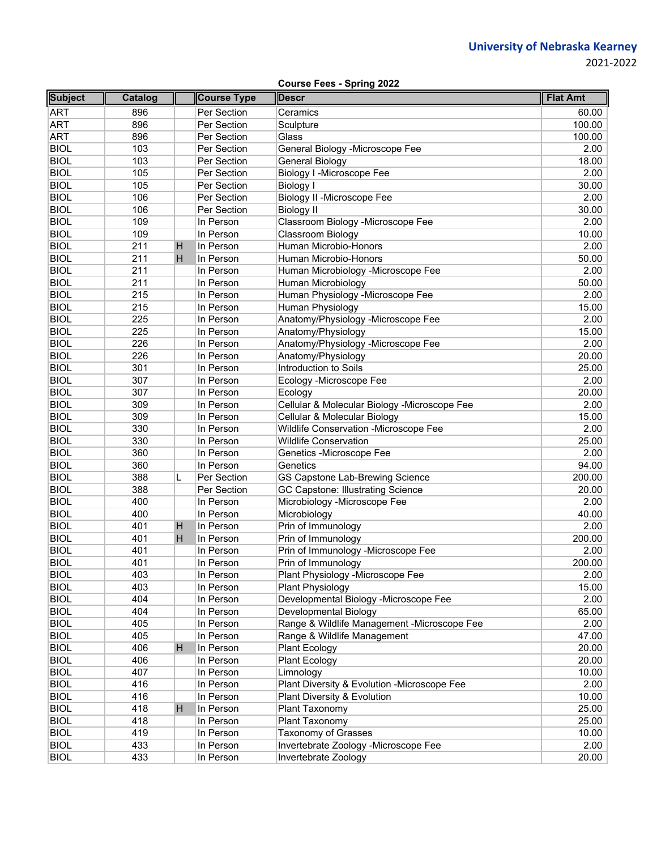| <b>Course Fees - Spring 2022</b> |  |
|----------------------------------|--|
|                                  |  |

| <b>Subject</b> | Catalog |   | <b>Course Type</b> | <b>Descr</b>                                  | <b>Flat Amt</b> |
|----------------|---------|---|--------------------|-----------------------------------------------|-----------------|
| ART            | 896     |   | Per Section        | Ceramics                                      | 60.00           |
| <b>ART</b>     | 896     |   | Per Section        | Sculpture                                     | 100.00          |
| <b>ART</b>     | 896     |   | Per Section        | Glass                                         | 100.00          |
| <b>BIOL</b>    | 103     |   | Per Section        | General Biology - Microscope Fee              | 2.00            |
| <b>BIOL</b>    | 103     |   | Per Section        | General Biology                               | 18.00           |
| <b>BIOL</b>    | 105     |   | Per Section        | Biology I - Microscope Fee                    | 2.00            |
| <b>BIOL</b>    | 105     |   | Per Section        | <b>Biology I</b>                              | 30.00           |
| <b>BIOL</b>    | 106     |   | Per Section        | Biology II - Microscope Fee                   | 2.00            |
| <b>BIOL</b>    | 106     |   | Per Section        | <b>Biology II</b>                             | 30.00           |
| <b>BIOL</b>    | 109     |   | In Person          | Classroom Biology -Microscope Fee             | 2.00            |
| <b>BIOL</b>    | 109     |   | In Person          | Classroom Biology                             | 10.00           |
| <b>BIOL</b>    | 211     | H | In Person          | Human Microbio-Honors                         | 2.00            |
| <b>BIOL</b>    | 211     | H | In Person          | Human Microbio-Honors                         | 50.00           |
| <b>BIOL</b>    | 211     |   | In Person          | Human Microbiology -Microscope Fee            | 2.00            |
| <b>BIOL</b>    | 211     |   | In Person          | Human Microbiology                            | 50.00           |
| <b>BIOL</b>    | 215     |   | In Person          | Human Physiology -Microscope Fee              | 2.00            |
| <b>BIOL</b>    | 215     |   | In Person          | Human Physiology                              | 15.00           |
| <b>BIOL</b>    | 225     |   | In Person          | Anatomy/Physiology -Microscope Fee            | 2.00            |
| <b>BIOL</b>    | 225     |   | In Person          | Anatomy/Physiology                            | 15.00           |
| <b>BIOL</b>    | 226     |   | In Person          | Anatomy/Physiology -Microscope Fee            | 2.00            |
| <b>BIOL</b>    | 226     |   | In Person          | Anatomy/Physiology                            | 20.00           |
| <b>BIOL</b>    | 301     |   | In Person          | Introduction to Soils                         | 25.00           |
| <b>BIOL</b>    | 307     |   | In Person          | Ecology -Microscope Fee                       | 2.00            |
| <b>BIOL</b>    | 307     |   | In Person          | Ecology                                       | 20.00           |
| <b>BIOL</b>    | 309     |   | In Person          | Cellular & Molecular Biology - Microscope Fee | 2.00            |
| <b>BIOL</b>    | 309     |   | In Person          | Cellular & Molecular Biology                  | 15.00           |
| <b>BIOL</b>    | 330     |   | In Person          | Wildlife Conservation - Microscope Fee        | 2.00            |
| <b>BIOL</b>    | 330     |   | In Person          | <b>Wildlife Conservation</b>                  | 25.00           |
| <b>BIOL</b>    | 360     |   | In Person          | Genetics -Microscope Fee                      | 2.00            |
| <b>BIOL</b>    | 360     |   | In Person          | Genetics                                      | 94.00           |
| <b>BIOL</b>    | 388     | L | Per Section        | GS Capstone Lab-Brewing Science               | 200.00          |
| <b>BIOL</b>    | 388     |   | Per Section        | <b>GC Capstone: Illustrating Science</b>      | 20.00           |
| <b>BIOL</b>    | 400     |   | In Person          | Microbiology -Microscope Fee                  | 2.00            |
| <b>BIOL</b>    | 400     |   | In Person          | Microbiology                                  | 40.00           |
| <b>BIOL</b>    | 401     | H | In Person          | Prin of Immunology                            | 2.00            |
| <b>BIOL</b>    | 401     | н | In Person          | Prin of Immunology                            | 200.00          |
| <b>BIOL</b>    | 401     |   | In Person          | Prin of Immunology -Microscope Fee            | 2.00            |
| <b>BIOL</b>    | 401     |   | In Person          | Prin of Immunology                            | 200.00          |
| <b>BIOL</b>    | 403     |   | In Person          | Plant Physiology -Microscope Fee              | 2.00            |
| <b>BIOL</b>    | 403     |   | In Person          | <b>Plant Physiology</b>                       | 15.00           |
| <b>BIOL</b>    | 404     |   | In Person          | Developmental Biology -Microscope Fee         | 2.00            |
| <b>BIOL</b>    | 404     |   | In Person          | Developmental Biology                         | 65.00           |
| <b>BIOL</b>    | 405     |   | In Person          | Range & Wildlife Management -Microscope Fee   | 2.00            |
| <b>BIOL</b>    | 405     |   | In Person          | Range & Wildlife Management                   | 47.00           |
| <b>BIOL</b>    | 406     | н | In Person          | Plant Ecology                                 | 20.00           |
| <b>BIOL</b>    | 406     |   | In Person          | Plant Ecology                                 | 20.00           |
| <b>BIOL</b>    | 407     |   | In Person          | Limnology                                     | 10.00           |
| <b>BIOL</b>    | 416     |   | In Person          | Plant Diversity & Evolution -Microscope Fee   | 2.00            |
| <b>BIOL</b>    | 416     |   | In Person          | Plant Diversity & Evolution                   | 10.00           |
| <b>BIOL</b>    | 418     | H | In Person          | Plant Taxonomy                                | 25.00           |
| <b>BIOL</b>    | 418     |   | In Person          | Plant Taxonomy                                | 25.00           |
| <b>BIOL</b>    | 419     |   | In Person          | <b>Taxonomy of Grasses</b>                    | 10.00           |
| <b>BIOL</b>    | 433     |   | In Person          | Invertebrate Zoology -Microscope Fee          | 2.00            |
| <b>BIOL</b>    | 433     |   | In Person          | Invertebrate Zoology                          | 20.00           |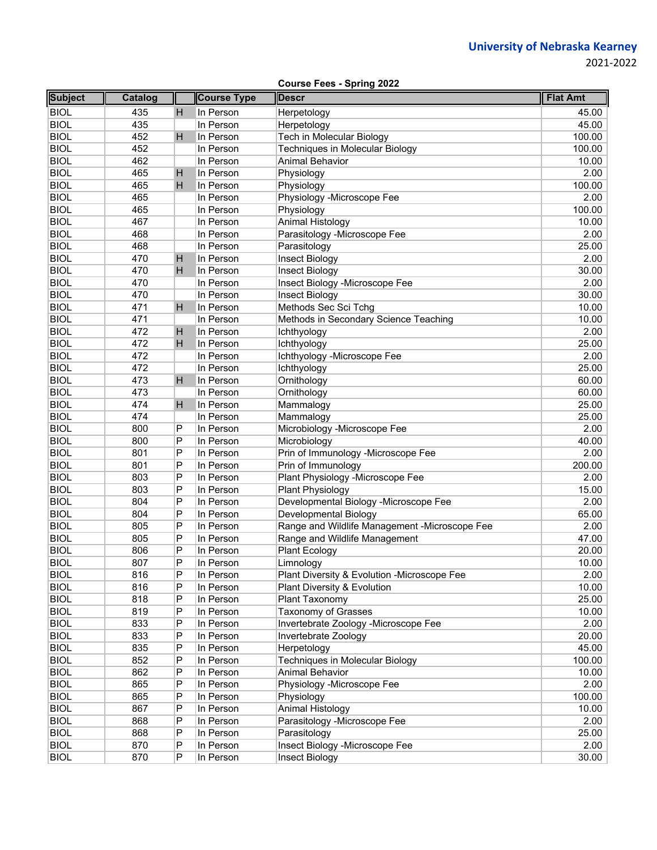|                | <b>Course Fees - Spring 2022</b> |   |                    |                                               |                 |  |  |  |  |
|----------------|----------------------------------|---|--------------------|-----------------------------------------------|-----------------|--|--|--|--|
| <b>Subject</b> | <b>Catalog</b>                   |   | <b>Course Type</b> | <b>Descr</b>                                  | <b>Flat Amt</b> |  |  |  |  |
| <b>BIOL</b>    | 435                              | н | In Person          | Herpetology                                   | 45.00           |  |  |  |  |
| <b>BIOL</b>    | 435                              |   | In Person          | Herpetology                                   | 45.00           |  |  |  |  |
| <b>BIOL</b>    | 452                              | н | In Person          | Tech in Molecular Biology                     | 100.00          |  |  |  |  |
| <b>BIOL</b>    | 452                              |   | In Person          | <b>Techniques in Molecular Biology</b>        | 100.00          |  |  |  |  |
| <b>BIOL</b>    | 462                              |   | In Person          | <b>Animal Behavior</b>                        | 10.00           |  |  |  |  |
| <b>BIOL</b>    | 465                              | н | In Person          | Physiology                                    | 2.00            |  |  |  |  |
| <b>BIOL</b>    | 465                              | н | In Person          | Physiology                                    | 100.00          |  |  |  |  |
| <b>BIOL</b>    | 465                              |   | In Person          | Physiology -Microscope Fee                    | 2.00            |  |  |  |  |
| <b>BIOL</b>    | 465                              |   | In Person          | Physiology                                    | 100.00          |  |  |  |  |
| <b>BIOL</b>    | 467                              |   | In Person          | Animal Histology                              | 10.00           |  |  |  |  |
| <b>BIOL</b>    | 468                              |   | In Person          | Parasitology -Microscope Fee                  | 2.00            |  |  |  |  |
| <b>BIOL</b>    | 468                              |   | In Person          | Parasitology                                  | 25.00           |  |  |  |  |
| <b>BIOL</b>    | 470                              | н | In Person          | Insect Biology                                | 2.00            |  |  |  |  |
| <b>BIOL</b>    | 470                              | H | In Person          | Insect Biology                                | 30.00           |  |  |  |  |
| <b>BIOL</b>    | 470                              |   | In Person          | Insect Biology -Microscope Fee                | 2.00            |  |  |  |  |
| <b>BIOL</b>    | 470                              |   | In Person          | <b>Insect Biology</b>                         | 30.00           |  |  |  |  |
| <b>BIOL</b>    | 471                              | н | In Person          | Methods Sec Sci Tchg                          | 10.00           |  |  |  |  |
| <b>BIOL</b>    | 471                              |   | In Person          | Methods in Secondary Science Teaching         | 10.00           |  |  |  |  |
| <b>BIOL</b>    | 472                              | н | In Person          | Ichthyology                                   | 2.00            |  |  |  |  |
| <b>BIOL</b>    | 472                              | H | In Person          | Ichthyology                                   | 25.00           |  |  |  |  |
| <b>BIOL</b>    | 472                              |   | In Person          | Ichthyology -Microscope Fee                   | 2.00            |  |  |  |  |
| <b>BIOL</b>    | 472                              |   | In Person          | Ichthyology                                   | 25.00           |  |  |  |  |
| <b>BIOL</b>    | 473                              | н | In Person          | Ornithology                                   | 60.00           |  |  |  |  |
| <b>BIOL</b>    | 473                              |   | In Person          | Ornithology                                   | 60.00           |  |  |  |  |
| <b>BIOL</b>    | 474                              | н | In Person          | Mammalogy                                     | 25.00           |  |  |  |  |
| <b>BIOL</b>    | 474                              |   | In Person          | Mammalogy                                     | 25.00           |  |  |  |  |
| <b>BIOL</b>    | 800                              | P | In Person          | Microbiology -Microscope Fee                  | 2.00            |  |  |  |  |
| <b>BIOL</b>    | 800                              | P | In Person          | Microbiology                                  | 40.00           |  |  |  |  |
| <b>BIOL</b>    | 801                              | P | In Person          | Prin of Immunology -Microscope Fee            | 2.00            |  |  |  |  |
| <b>BIOL</b>    | 801                              | P | In Person          | Prin of Immunology                            | 200.00          |  |  |  |  |
| <b>BIOL</b>    | 803                              | P | In Person          | Plant Physiology -Microscope Fee              | 2.00            |  |  |  |  |
| <b>BIOL</b>    | 803                              | P | In Person          | <b>Plant Physiology</b>                       | 15.00           |  |  |  |  |
| <b>BIOL</b>    | 804                              | P | In Person          | Developmental Biology -Microscope Fee         | 2.00            |  |  |  |  |
| <b>BIOL</b>    | 804                              | P | In Person          | Developmental Biology                         | 65.00           |  |  |  |  |
| <b>BIOL</b>    | 805                              | P | In Person          | Range and Wildlife Management -Microscope Fee | 2.00            |  |  |  |  |
| <b>BIOL</b>    | 805                              | P | In Person          | Range and Wildlife Management                 | 47.00           |  |  |  |  |
| <b>BIOL</b>    | 806                              | P | In Person          | <b>Plant Ecology</b>                          | 20.00           |  |  |  |  |
| <b>BIOL</b>    | 807                              | Ρ | In Person          | Limnology                                     | 10.00           |  |  |  |  |
| <b>BIOL</b>    | 816                              | P | In Person          | Plant Diversity & Evolution -Microscope Fee   | 2.00            |  |  |  |  |
| <b>BIOL</b>    | 816                              | Ρ | In Person          | Plant Diversity & Evolution                   | 10.00           |  |  |  |  |
| <b>BIOL</b>    | 818                              | P | In Person          | Plant Taxonomy                                | 25.00           |  |  |  |  |
| <b>BIOL</b>    | 819                              | P | In Person          | <b>Taxonomy of Grasses</b>                    | 10.00           |  |  |  |  |
| <b>BIOL</b>    | 833                              | P | In Person          | Invertebrate Zoology -Microscope Fee          | 2.00            |  |  |  |  |
| <b>BIOL</b>    | 833                              | Ρ | In Person          | Invertebrate Zoology                          | 20.00           |  |  |  |  |
| <b>BIOL</b>    | 835                              | Ρ | In Person          | Herpetology                                   | 45.00           |  |  |  |  |
| <b>BIOL</b>    | 852                              | P | In Person          | <b>Techniques in Molecular Biology</b>        | 100.00          |  |  |  |  |
| <b>BIOL</b>    | 862                              | Ρ | In Person          | <b>Animal Behavior</b>                        | 10.00           |  |  |  |  |
| <b>BIOL</b>    | 865                              | P | In Person          | Physiology -Microscope Fee                    | 2.00            |  |  |  |  |
| <b>BIOL</b>    | 865                              | Ρ | In Person          | Physiology                                    | 100.00          |  |  |  |  |
| <b>BIOL</b>    | 867                              | P | In Person          | Animal Histology                              | 10.00           |  |  |  |  |
| <b>BIOL</b>    | 868                              | Ρ | In Person          | Parasitology -Microscope Fee                  | 2.00            |  |  |  |  |
| <b>BIOL</b>    | 868                              | P | In Person          | Parasitology                                  | 25.00           |  |  |  |  |
| <b>BIOL</b>    | 870                              | Ρ | In Person          | Insect Biology -Microscope Fee                | 2.00            |  |  |  |  |
| <b>BIOL</b>    | 870                              | P | In Person          | Insect Biology                                | 30.00           |  |  |  |  |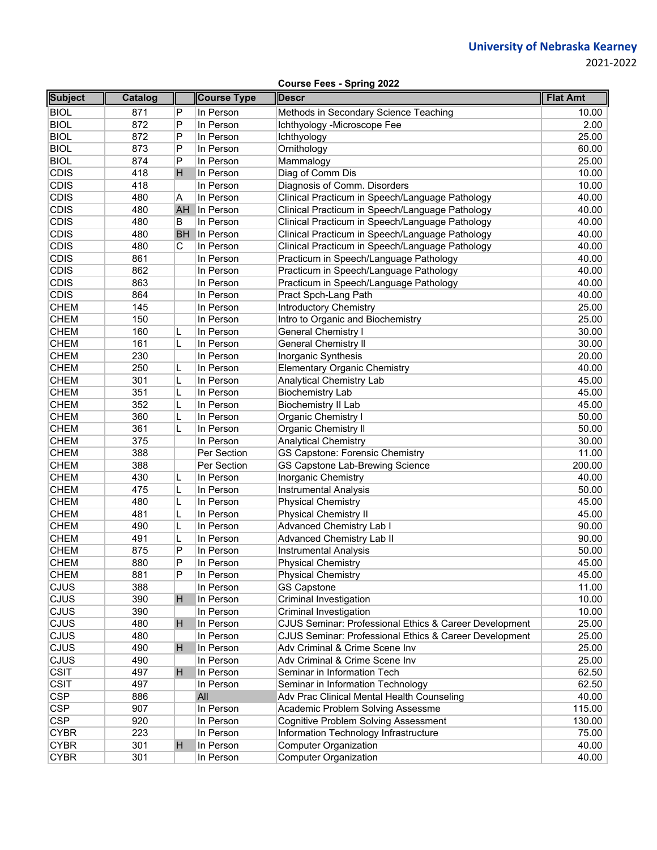2021‐2022

**Course Fees - Spring 2022**

| <b>Subject</b> | Catalog |           | <b>Course Type</b> | <b>Descr</b>                                           | <b>Flat Amt</b> |
|----------------|---------|-----------|--------------------|--------------------------------------------------------|-----------------|
| <b>BIOL</b>    | 871     | P         | In Person          | Methods in Secondary Science Teaching                  | 10.00           |
| <b>BIOL</b>    | 872     | P         | In Person          | Ichthyology -Microscope Fee                            | 2.00            |
| <b>BIOL</b>    | 872     | P         | In Person          | Ichthyology                                            | 25.00           |
| <b>BIOL</b>    | 873     | P         | In Person          | Ornithology                                            | 60.00           |
| <b>BIOL</b>    | 874     | P         | In Person          | Mammalogy                                              | 25.00           |
| <b>CDIS</b>    | 418     | H         | In Person          | Diag of Comm Dis                                       | 10.00           |
| <b>CDIS</b>    | 418     |           | In Person          | Diagnosis of Comm. Disorders                           | 10.00           |
| <b>CDIS</b>    | 480     | Α         | In Person          | Clinical Practicum in Speech/Language Pathology        | 40.00           |
| <b>CDIS</b>    | 480     | AH        | In Person          | Clinical Practicum in Speech/Language Pathology        | 40.00           |
| <b>CDIS</b>    | 480     | B         | In Person          | Clinical Practicum in Speech/Language Pathology        | 40.00           |
| <b>CDIS</b>    | 480     | <b>BH</b> | In Person          | Clinical Practicum in Speech/Language Pathology        | 40.00           |
| <b>CDIS</b>    | 480     | С         | In Person          | Clinical Practicum in Speech/Language Pathology        | 40.00           |
| <b>CDIS</b>    | 861     |           | In Person          | Practicum in Speech/Language Pathology                 | 40.00           |
| <b>CDIS</b>    | 862     |           | In Person          | Practicum in Speech/Language Pathology                 | 40.00           |
| <b>CDIS</b>    | 863     |           | In Person          | Practicum in Speech/Language Pathology                 | 40.00           |
| <b>CDIS</b>    | 864     |           | In Person          | Pract Spch-Lang Path                                   | 40.00           |
| <b>CHEM</b>    | 145     |           | In Person          | <b>Introductory Chemistry</b>                          | 25.00           |
| <b>CHEM</b>    | 150     |           | In Person          | Intro to Organic and Biochemistry                      | 25.00           |
| <b>CHEM</b>    | 160     | L         | In Person          | General Chemistry I                                    | 30.00           |
| <b>CHEM</b>    | 161     | L         | In Person          | <b>General Chemistry II</b>                            | 30.00           |
| <b>CHEM</b>    | 230     |           | In Person          | Inorganic Synthesis                                    | 20.00           |
| <b>CHEM</b>    | 250     | L         | In Person          | <b>Elementary Organic Chemistry</b>                    | 40.00           |
| <b>CHEM</b>    | 301     | L         | In Person          | Analytical Chemistry Lab                               | 45.00           |
| <b>CHEM</b>    | 351     | L         | In Person          | <b>Biochemistry Lab</b>                                | 45.00           |
| <b>CHEM</b>    | 352     | L         | In Person          | <b>Biochemistry II Lab</b>                             | 45.00           |
| <b>CHEM</b>    | 360     | L         | In Person          | Organic Chemistry I                                    | 50.00           |
| <b>CHEM</b>    | 361     |           | In Person          | Organic Chemistry II                                   | 50.00           |
| <b>CHEM</b>    | 375     |           | In Person          | <b>Analytical Chemistry</b>                            | 30.00           |
| <b>CHEM</b>    | 388     |           | Per Section        | <b>GS Capstone: Forensic Chemistry</b>                 | 11.00           |
| <b>CHEM</b>    | 388     |           | Per Section        | GS Capstone Lab-Brewing Science                        | 200.00          |
| <b>CHEM</b>    | 430     | L         | In Person          | Inorganic Chemistry                                    | 40.00           |
| <b>CHEM</b>    | 475     | L         | In Person          | <b>Instrumental Analysis</b>                           | 50.00           |
| <b>CHEM</b>    | 480     | L         | In Person          | <b>Physical Chemistry</b>                              | 45.00           |
| <b>CHEM</b>    | 481     | L         | In Person          | <b>Physical Chemistry II</b>                           | 45.00           |
| <b>CHEM</b>    | 490     | L         | In Person          | Advanced Chemistry Lab I                               | 90.00           |
| <b>CHEM</b>    | 491     | L         | In Person          | <b>Advanced Chemistry Lab II</b>                       | 90.00           |
| <b>CHEM</b>    | 875     | P         | In Person          | <b>Instrumental Analysis</b>                           | 50.00           |
| <b>CHEM</b>    | 880     | P         | In Person          | <b>Physical Chemistry</b>                              | 45.00           |
| CHEM           | 881     | P         | In Person          | <b>Physical Chemistry</b>                              | 45.00           |
| <b>CJUS</b>    | 388     |           | In Person          | <b>GS Capstone</b>                                     | 11.00           |
| CJUS           | 390     | H         | In Person          | Criminal Investigation                                 | 10.00           |
| CJUS           | 390     |           | In Person          | Criminal Investigation                                 | 10.00           |
| CJUS           | 480     | H         | In Person          | CJUS Seminar: Professional Ethics & Career Development | 25.00           |
| CJUS           | 480     |           | In Person          | CJUS Seminar: Professional Ethics & Career Development | 25.00           |
| CJUS           | 490     | H         | In Person          | Adv Criminal & Crime Scene Inv                         | 25.00           |
| CJUS           | 490     |           | In Person          | Adv Criminal & Crime Scene Inv                         | 25.00           |
| <b>CSIT</b>    | 497     | H         | In Person          | Seminar in Information Tech                            | 62.50           |
| <b>CSIT</b>    | 497     |           | In Person          | Seminar in Information Technology                      | 62.50           |
| <b>CSP</b>     | 886     |           | All                | Adv Prac Clinical Mental Health Counseling             | 40.00           |
| <b>CSP</b>     | 907     |           | In Person          | Academic Problem Solving Assessme                      | 115.00          |
| <b>CSP</b>     | 920     |           | In Person          | <b>Cognitive Problem Solving Assessment</b>            | 130.00          |
| <b>CYBR</b>    | 223     |           | In Person          | Information Technology Infrastructure                  | 75.00           |
| <b>CYBR</b>    | 301     | H         | In Person          | <b>Computer Organization</b>                           | 40.00           |
| <b>CYBR</b>    | 301     |           | In Person          | <b>Computer Organization</b>                           | 40.00           |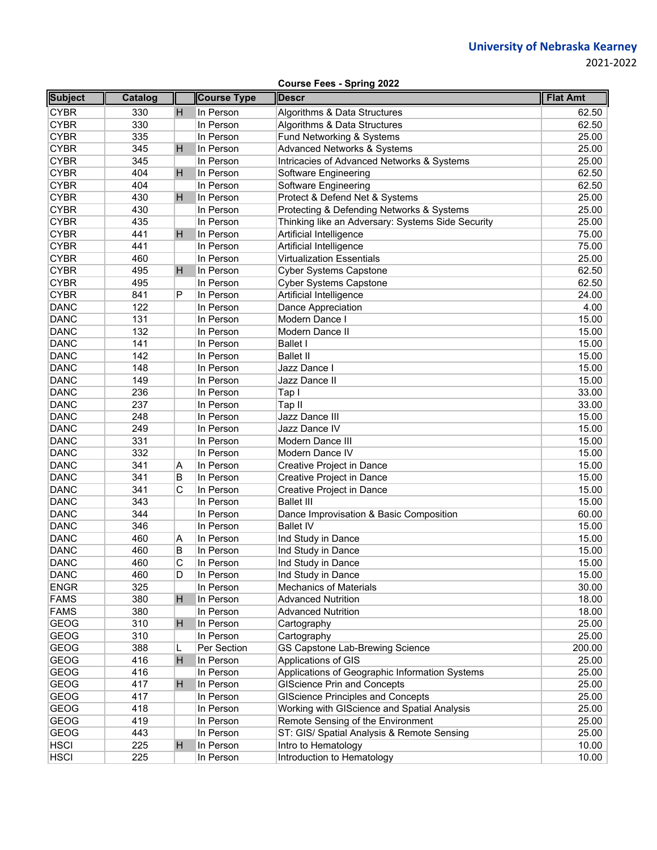| <b>Course Fees - Spring 2022</b> |  |  |  |
|----------------------------------|--|--|--|
|----------------------------------|--|--|--|

| <b>Subject</b> | Catalog |    | <b>Course Type</b> | <b>Descr</b>                                          | <b>Flat Amt</b> |
|----------------|---------|----|--------------------|-------------------------------------------------------|-----------------|
| <b>CYBR</b>    | 330     | H  | In Person          | Algorithms & Data Structures                          | 62.50           |
| <b>CYBR</b>    | 330     |    | In Person          | Algorithms & Data Structures                          | 62.50           |
| <b>CYBR</b>    | 335     |    | In Person          | Fund Networking & Systems                             | 25.00           |
| <b>CYBR</b>    | 345     | H  | In Person          | <b>Advanced Networks &amp; Systems</b>                | 25.00           |
| <b>CYBR</b>    | 345     |    | In Person          | <b>Intricacies of Advanced Networks &amp; Systems</b> | 25.00           |
| <b>CYBR</b>    | 404     | H  | In Person          | Software Engineering                                  | 62.50           |
| <b>CYBR</b>    | 404     |    | In Person          | Software Engineering                                  | 62.50           |
| <b>CYBR</b>    | 430     | H  | In Person          | Protect & Defend Net & Systems                        | 25.00           |
| <b>CYBR</b>    | 430     |    | In Person          | Protecting & Defending Networks & Systems             | 25.00           |
| <b>CYBR</b>    | 435     |    | In Person          | Thinking like an Adversary: Systems Side Security     | 25.00           |
| <b>CYBR</b>    | 441     | H. | In Person          | Artificial Intelligence                               | 75.00           |
| <b>CYBR</b>    | 441     |    | In Person          | Artificial Intelligence                               | 75.00           |
| <b>CYBR</b>    | 460     |    | In Person          | <b>Virtualization Essentials</b>                      | 25.00           |
| <b>CYBR</b>    | 495     | н  | In Person          | <b>Cyber Systems Capstone</b>                         | 62.50           |
| <b>CYBR</b>    | 495     |    | In Person          | <b>Cyber Systems Capstone</b>                         | 62.50           |
| <b>CYBR</b>    | 841     | P  | In Person          | Artificial Intelligence                               | 24.00           |
| <b>DANC</b>    | 122     |    | In Person          | Dance Appreciation                                    | 4.00            |
| <b>DANC</b>    | 131     |    | In Person          | Modern Dance I                                        | 15.00           |
| <b>DANC</b>    | 132     |    | In Person          | Modern Dance II                                       | 15.00           |
| <b>DANC</b>    | 141     |    | In Person          | <b>Ballet I</b>                                       | 15.00           |
| <b>DANC</b>    | 142     |    | In Person          | <b>Ballet II</b>                                      | 15.00           |
| <b>DANC</b>    | 148     |    | In Person          | Jazz Dance I                                          | 15.00           |
| <b>DANC</b>    | 149     |    | In Person          | Jazz Dance II                                         | 15.00           |
| <b>DANC</b>    | 236     |    | In Person          | Tap I                                                 | 33.00           |
| <b>DANC</b>    | 237     |    | In Person          | Tap II                                                | 33.00           |
| <b>DANC</b>    | 248     |    | In Person          | Jazz Dance III                                        | 15.00           |
| <b>DANC</b>    | 249     |    | In Person          | Jazz Dance IV                                         | 15.00           |
| <b>DANC</b>    | 331     |    | In Person          | Modern Dance III                                      | 15.00           |
| <b>DANC</b>    | 332     |    | In Person          | Modern Dance IV                                       | 15.00           |
| <b>DANC</b>    | 341     | Α  | In Person          | Creative Project in Dance                             | 15.00           |
| <b>DANC</b>    | 341     | B  | In Person          | Creative Project in Dance                             | 15.00           |
| <b>DANC</b>    | 341     | C  | In Person          | Creative Project in Dance                             | 15.00           |
| <b>DANC</b>    | 343     |    | In Person          | <b>Ballet III</b>                                     | 15.00           |
| <b>DANC</b>    | 344     |    | In Person          | Dance Improvisation & Basic Composition               | 60.00           |
| <b>DANC</b>    | 346     |    | In Person          | <b>Ballet IV</b>                                      | 15.00           |
| <b>DANC</b>    | 460     | Α  | In Person          | Ind Study in Dance                                    | 15.00           |
| <b>DANC</b>    | 460     | B  | In Person          | Ind Study in Dance                                    | 15.00           |
| <b>DANC</b>    | 460     | C  | In Person          | Ind Study in Dance                                    | 15.00           |
| <b>DANC</b>    | 460     | D  | In Person          | Ind Study in Dance                                    | 15.00           |
| <b>ENGR</b>    | 325     |    | In Person          | <b>Mechanics of Materials</b>                         | 30.00           |
| <b>FAMS</b>    | 380     | H  | In Person          | <b>Advanced Nutrition</b>                             | 18.00           |
| <b>FAMS</b>    | 380     |    | In Person          | <b>Advanced Nutrition</b>                             | 18.00           |
| <b>GEOG</b>    | 310     | H  | In Person          | Cartography                                           | 25.00           |
| <b>GEOG</b>    | 310     |    | In Person          | Cartography                                           | 25.00           |
| <b>GEOG</b>    | 388     | L  | Per Section        | <b>GS Capstone Lab-Brewing Science</b>                | 200.00          |
| <b>GEOG</b>    | 416     | H  | In Person          | Applications of GIS                                   | 25.00           |
| <b>GEOG</b>    | 416     |    | In Person          | Applications of Geographic Information Systems        | 25.00           |
| <b>GEOG</b>    | 417     | H. | In Person          | <b>GIScience Prin and Concepts</b>                    | 25.00           |
| <b>GEOG</b>    | 417     |    | In Person          | <b>GIScience Principles and Concepts</b>              | 25.00           |
| <b>GEOG</b>    | 418     |    | In Person          | Working with GIScience and Spatial Analysis           | 25.00           |
| <b>GEOG</b>    | 419     |    | In Person          | Remote Sensing of the Environment                     | 25.00           |
| <b>GEOG</b>    | 443     |    | In Person          | ST: GIS/ Spatial Analysis & Remote Sensing            | 25.00           |
| <b>HSCI</b>    | 225     | H  | In Person          | Intro to Hematology                                   | 10.00           |
| <b>HSCI</b>    | 225     |    | In Person          | Introduction to Hematology                            | 10.00           |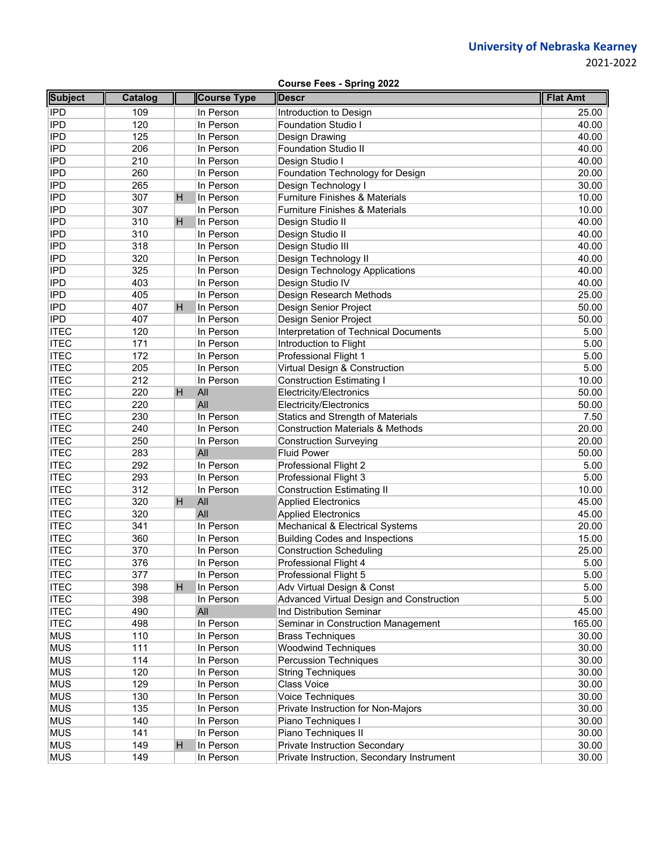|                | <b>Course Fees - Spring 2022</b> |    |                    |                                             |                 |  |  |  |
|----------------|----------------------------------|----|--------------------|---------------------------------------------|-----------------|--|--|--|
| <b>Subject</b> | <b>Catalog</b>                   |    | <b>Course Type</b> | <b>Descr</b>                                | <b>Flat Amt</b> |  |  |  |
| <b>IPD</b>     | 109                              |    | In Person          | Introduction to Design                      | 25.00           |  |  |  |
| <b>IPD</b>     | 120                              |    | In Person          | <b>Foundation Studio I</b>                  | 40.00           |  |  |  |
| <b>IPD</b>     | 125                              |    | In Person          | Design Drawing                              | 40.00           |  |  |  |
| <b>IPD</b>     | 206                              |    | In Person          | <b>Foundation Studio II</b>                 | 40.00           |  |  |  |
| <b>IPD</b>     | 210                              |    | In Person          | Design Studio I                             | 40.00           |  |  |  |
| <b>IPD</b>     | 260                              |    | In Person          | Foundation Technology for Design            | 20.00           |  |  |  |
| <b>IPD</b>     | 265                              |    | In Person          | Design Technology I                         | 30.00           |  |  |  |
| <b>IPD</b>     | 307                              | H. | In Person          | <b>Furniture Finishes &amp; Materials</b>   | 10.00           |  |  |  |
| <b>IPD</b>     | 307                              |    | In Person          | <b>Furniture Finishes &amp; Materials</b>   | 10.00           |  |  |  |
| <b>IPD</b>     | 310                              | H  | In Person          | Design Studio II                            | 40.00           |  |  |  |
| <b>IPD</b>     | 310                              |    | In Person          | Design Studio II                            | 40.00           |  |  |  |
| <b>IPD</b>     | 318                              |    | In Person          | Design Studio III                           | 40.00           |  |  |  |
| <b>IPD</b>     | 320                              |    | In Person          | Design Technology II                        | 40.00           |  |  |  |
| <b>IPD</b>     | 325                              |    | In Person          | <b>Design Technology Applications</b>       | 40.00           |  |  |  |
| <b>IPD</b>     | 403                              |    | In Person          | Design Studio IV                            | 40.00           |  |  |  |
| <b>IPD</b>     | 405                              |    | In Person          | Design Research Methods                     | 25.00           |  |  |  |
| <b>IPD</b>     | 407                              | H. | In Person          | Design Senior Project                       | 50.00           |  |  |  |
| <b>IPD</b>     | 407                              |    | In Person          | Design Senior Project                       | 50.00           |  |  |  |
| <b>ITEC</b>    | 120                              |    | In Person          | Interpretation of Technical Documents       | 5.00            |  |  |  |
| <b>ITEC</b>    | 171                              |    | In Person          | Introduction to Flight                      | 5.00            |  |  |  |
| <b>ITEC</b>    | 172                              |    | In Person          | Professional Flight 1                       | 5.00            |  |  |  |
| <b>ITEC</b>    | 205                              |    | In Person          | Virtual Design & Construction               | 5.00            |  |  |  |
| <b>ITEC</b>    | 212                              |    | In Person          | <b>Construction Estimating I</b>            | 10.00           |  |  |  |
| <b>ITEC</b>    | 220                              | H. | All                | Electricity/Electronics                     | 50.00           |  |  |  |
| <b>ITEC</b>    | 220                              |    | All                | Electricity/Electronics                     | 50.00           |  |  |  |
| <b>ITEC</b>    | 230                              |    | In Person          | Statics and Strength of Materials           | 7.50            |  |  |  |
| <b>ITEC</b>    | 240                              |    | In Person          | <b>Construction Materials &amp; Methods</b> | 20.00           |  |  |  |
| <b>ITEC</b>    | 250                              |    | In Person          | <b>Construction Surveying</b>               | 20.00           |  |  |  |
| <b>ITEC</b>    | 283                              |    | All                | <b>Fluid Power</b>                          | 50.00           |  |  |  |
| <b>ITEC</b>    | 292                              |    | In Person          | Professional Flight 2                       | 5.00            |  |  |  |
| <b>ITEC</b>    | 293                              |    | In Person          | Professional Flight 3                       | 5.00            |  |  |  |
| <b>ITEC</b>    | 312                              |    | In Person          | <b>Construction Estimating II</b>           | 10.00           |  |  |  |
| <b>ITEC</b>    | 320                              | H. | All                | <b>Applied Electronics</b>                  | 45.00           |  |  |  |
| <b>ITEC</b>    | 320                              |    | All                | <b>Applied Electronics</b>                  | 45.00           |  |  |  |
| <b>ITEC</b>    | 341                              |    | In Person          | Mechanical & Electrical Systems             | 20.00           |  |  |  |
| <b>ITEC</b>    | 360                              |    | In Person          | <b>Building Codes and Inspections</b>       | 15.00           |  |  |  |
| <b>ITEC</b>    | 370                              |    | In Person          | <b>Construction Scheduling</b>              | 25.00           |  |  |  |
| <b>ITEC</b>    | 376                              |    | In Person          | Professional Flight 4                       | 5.00            |  |  |  |
| <b>ITEC</b>    | 377                              |    | In Person          | Professional Flight 5                       | 5.00            |  |  |  |
| <b>ITEC</b>    | 398                              | H  | In Person          | Adv Virtual Design & Const                  | 5.00            |  |  |  |
| <b>ITEC</b>    | 398                              |    | In Person          | Advanced Virtual Design and Construction    | 5.00            |  |  |  |
| <b>ITEC</b>    | 490                              |    | All                | Ind Distribution Seminar                    | 45.00           |  |  |  |
| <b>ITEC</b>    | 498                              |    | In Person          | Seminar in Construction Management          | 165.00          |  |  |  |
| <b>MUS</b>     | 110                              |    | In Person          | <b>Brass Techniques</b>                     | 30.00           |  |  |  |
| <b>MUS</b>     | 111                              |    | In Person          | <b>Woodwind Techniques</b>                  | 30.00           |  |  |  |
| <b>MUS</b>     | 114                              |    | In Person          | <b>Percussion Techniques</b>                | 30.00           |  |  |  |
| <b>MUS</b>     | 120                              |    | In Person          | <b>String Techniques</b>                    | 30.00           |  |  |  |
| <b>MUS</b>     | 129                              |    | In Person          | Class Voice                                 | 30.00           |  |  |  |
| <b>MUS</b>     | 130                              |    | In Person          | Voice Techniques                            | 30.00           |  |  |  |
| <b>MUS</b>     | 135                              |    | In Person          | Private Instruction for Non-Majors          | 30.00           |  |  |  |
| <b>MUS</b>     | 140                              |    | In Person          | Piano Techniques I                          | 30.00           |  |  |  |
| <b>MUS</b>     | 141                              |    | In Person          | Piano Techniques II                         | 30.00           |  |  |  |
| <b>MUS</b>     | 149                              | H  | In Person          | <b>Private Instruction Secondary</b>        | 30.00           |  |  |  |
| <b>MUS</b>     | 149                              |    | In Person          | Private Instruction, Secondary Instrument   | 30.00           |  |  |  |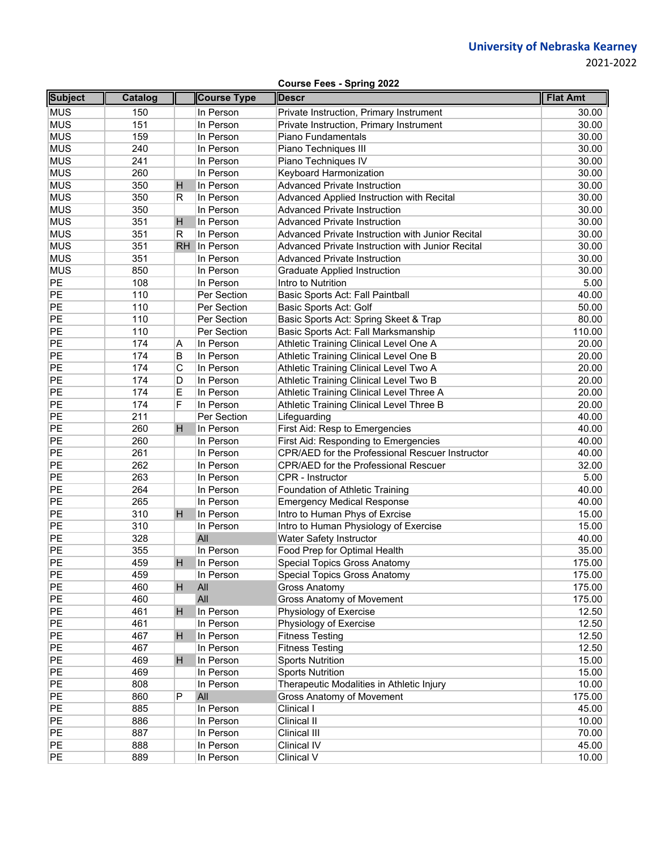| <b>Course Fees - Spring 2022</b> |  |  |  |  |
|----------------------------------|--|--|--|--|
|----------------------------------|--|--|--|--|

| <b>Subject</b> | Catalog |     | <b>Course Type</b> | <b>Descr</b>                                     | <b>Flat Amt</b> |
|----------------|---------|-----|--------------------|--------------------------------------------------|-----------------|
| <b>MUS</b>     | 150     |     | In Person          | Private Instruction, Primary Instrument          | 30.00           |
| <b>MUS</b>     | 151     |     | In Person          | Private Instruction, Primary Instrument          | 30.00           |
| <b>MUS</b>     | 159     |     | In Person          | Piano Fundamentals                               | 30.00           |
| <b>MUS</b>     | 240     |     | In Person          | Piano Techniques III                             | 30.00           |
| <b>MUS</b>     | 241     |     | In Person          | Piano Techniques IV                              | 30.00           |
| <b>MUS</b>     | 260     |     | In Person          | Keyboard Harmonization                           | 30.00           |
| <b>MUS</b>     | 350     | Н   | In Person          | <b>Advanced Private Instruction</b>              | 30.00           |
| <b>MUS</b>     | 350     | R   | In Person          | Advanced Applied Instruction with Recital        | 30.00           |
| MUS            | 350     |     | In Person          | <b>Advanced Private Instruction</b>              | 30.00           |
| MUS            | 351     | H   | In Person          | <b>Advanced Private Instruction</b>              | 30.00           |
| MUS            | 351     | R   | In Person          | Advanced Private Instruction with Junior Recital | 30.00           |
| MUS            | 351     | RH. | In Person          | Advanced Private Instruction with Junior Recital | 30.00           |
| <b>MUS</b>     | 351     |     | In Person          | <b>Advanced Private Instruction</b>              | 30.00           |
| <b>MUS</b>     | 850     |     | In Person          | <b>Graduate Applied Instruction</b>              | 30.00           |
| PE             | 108     |     | In Person          | Intro to Nutrition                               | 5.00            |
| PE             | 110     |     | Per Section        | Basic Sports Act: Fall Paintball                 | 40.00           |
| PE             | 110     |     | Per Section        | Basic Sports Act: Golf                           | 50.00           |
| PE             | 110     |     | Per Section        | Basic Sports Act: Spring Skeet & Trap            | 80.00           |
| PE             | 110     |     | Per Section        | Basic Sports Act: Fall Marksmanship              | 110.00          |
| PE             | 174     | Α   | In Person          | Athletic Training Clinical Level One A           | 20.00           |
| PE             | 174     | В   | In Person          | Athletic Training Clinical Level One B           | 20.00           |
| PE             | 174     | C   | In Person          | Athletic Training Clinical Level Two A           | 20.00           |
| PE             | 174     | D   | In Person          | Athletic Training Clinical Level Two B           | 20.00           |
| PE             | 174     | Ε   | In Person          | Athletic Training Clinical Level Three A         | 20.00           |
| PE             | 174     | F   | In Person          | Athletic Training Clinical Level Three B         | 20.00           |
| PE             | 211     |     | Per Section        | Lifeguarding                                     | 40.00           |
| PE             | 260     | H   | In Person          | First Aid: Resp to Emergencies                   | 40.00           |
| PE             | 260     |     | In Person          | First Aid: Responding to Emergencies             | 40.00           |
| PE             | 261     |     | In Person          | CPR/AED for the Professional Rescuer Instructor  | 40.00           |
| PE             | 262     |     | In Person          | CPR/AED for the Professional Rescuer             | 32.00           |
| PE             | 263     |     | In Person          | <b>CPR</b> - Instructor                          | 5.00            |
| PE             | 264     |     | In Person          | Foundation of Athletic Training                  | 40.00           |
| PE             | 265     |     | In Person          | <b>Emergency Medical Response</b>                | 40.00           |
| PE             | 310     | H   | In Person          | Intro to Human Phys of Exrcise                   | 15.00           |
| PE             | 310     |     | In Person          | Intro to Human Physiology of Exercise            | 15.00           |
| PE             | 328     |     | All                | Water Safety Instructor                          | 40.00           |
| PE             | 355     |     | In Person          | Food Prep for Optimal Health                     | 35.00           |
| PE             | 459     | H   | In Person          | Special Topics Gross Anatomy                     | 175.00          |
| PE             | 459     |     | In Person          | Special Topics Gross Anatomy                     | 175.00          |
| PE             | 460     | H   | All                | <b>Gross Anatomy</b>                             | 175.00          |
| PE             | 460     |     | All                | Gross Anatomy of Movement                        | 175.00          |
| PE             | 461     | H   | In Person          | Physiology of Exercise                           | 12.50           |
| PE             | 461     |     | In Person          | Physiology of Exercise                           | 12.50           |
| PE             | 467     | H   | In Person          | <b>Fitness Testing</b>                           | 12.50           |
| PE             | 467     |     | In Person          | <b>Fitness Testing</b>                           | 12.50           |
| PE             | 469     | H   | In Person          | <b>Sports Nutrition</b>                          | 15.00           |
| PE             | 469     |     | In Person          | <b>Sports Nutrition</b>                          | 15.00           |
| PE             | 808     |     | In Person          | Therapeutic Modalities in Athletic Injury        | 10.00           |
| PE             | 860     | P   | All                | Gross Anatomy of Movement                        | 175.00          |
| PE             | 885     |     | In Person          | Clinical I                                       | 45.00           |
| PE             | 886     |     | In Person          | Clinical II                                      | 10.00           |
| PE             | 887     |     | In Person          | Clinical III                                     | 70.00           |
| PE             | 888     |     | In Person          | Clinical IV                                      | 45.00           |
| PE             | 889     |     | In Person          | Clinical V                                       | 10.00           |